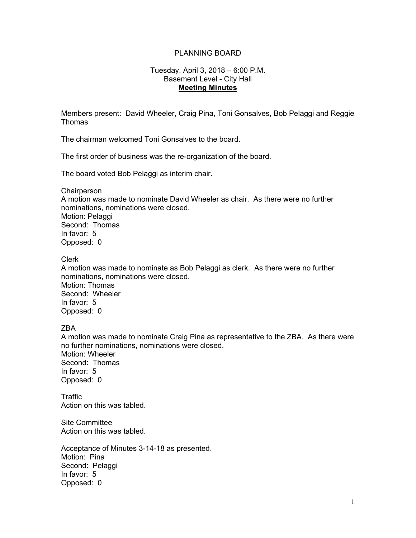# PLANNING BOARD

## Tuesday, April 3, 2018 – 6:00 P.M. Basement Level - City Hall **Meeting Minutes**

Members present: David Wheeler, Craig Pina, Toni Gonsalves, Bob Pelaggi and Reggie Thomas

The chairman welcomed Toni Gonsalves to the board.

The first order of business was the re-organization of the board.

The board voted Bob Pelaggi as interim chair.

**Chairperson** 

A motion was made to nominate David Wheeler as chair. As there were no further nominations, nominations were closed. Motion: Pelaggi Second: Thomas In favor: 5 Opposed: 0

Clerk

A motion was made to nominate as Bob Pelaggi as clerk. As there were no further nominations, nominations were closed. Motion: Thomas Second: Wheeler In favor: 5 Opposed: 0

## ZBA

A motion was made to nominate Craig Pina as representative to the ZBA. As there were no further nominations, nominations were closed. Motion: Wheeler Second: Thomas In favor: 5 Opposed: 0

**Traffic** Action on this was tabled.

Site Committee Action on this was tabled.

Acceptance of Minutes 3-14-18 as presented.<br>Motion: Pina Second: Pelaggi In favor: 5 Opposed: 0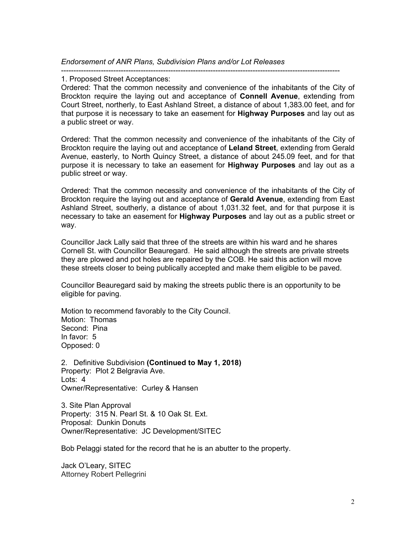*Endorsement of ANR Plans, Subdivision Plans and/or Lot Releases* 

## ----------------------------------------------------------------------------------------------------------------

#### 1. Proposed Street Acceptances:

Ordered: That the common necessity and convenience of the inhabitants of the City of Brockton require the laying out and acceptance of **Connell Avenue**, extending from Court Street, northerly, to East Ashland Street, a distance of about 1,383.00 feet, and for that purpose it is necessary to take an easement for **Highway Purposes** and lay out as a public street or way.

Ordered: That the common necessity and convenience of the inhabitants of the City of Brockton require the laying out and acceptance of **Leland Street**, extending from Gerald Avenue, easterly, to North Quincy Street, a distance of about 245.09 feet, and for that purpose it is necessary to take an easement for **Highway Purposes** and lay out as a public street or way.

Ordered: That the common necessity and convenience of the inhabitants of the City of Brockton require the laying out and acceptance of **Gerald Avenue**, extending from East Ashland Street, southerly, a distance of about 1,031.32 feet, and for that purpose it is necessary to take an easement for **Highway Purposes** and lay out as a public street or way.

Councillor Jack Lally said that three of the streets are within his ward and he shares Cornell St. with Councillor Beauregard. He said although the streets are private streets they are plowed and pot holes are repaired by the COB. He said this action will move these streets closer to being publically accepted and make them eligible to be paved.

Councillor Beauregard said by making the streets public there is an opportunity to be eligible for paving.

Motion to recommend favorably to the City Council. Motion: Thomas Second: Pina In favor: 5 Opposed: 0

 Owner/Representative: Curley & Hansen 2. Definitive Subdivision **(Continued to May 1, 2018)**  Property: Plot 2 Belgravia Ave. Lots: 4

3. Site Plan Approval Property: 315 N. Pearl St. & 10 Oak St. Ext. Proposal: Dunkin Donuts Owner/Representative: JC Development/SITEC

Bob Pelaggi stated for the record that he is an abutter to the property.

Jack O'Leary, SITEC Attorney Robert Pellegrini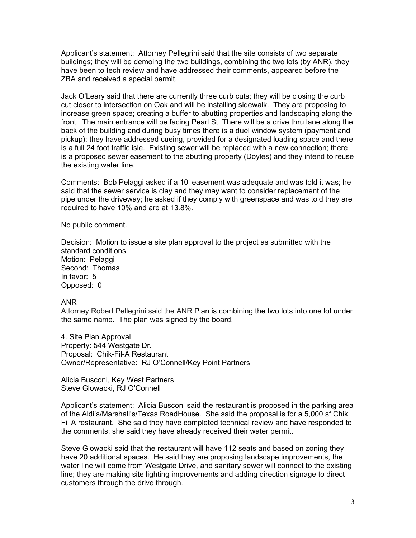Applicant's statement: Attorney Pellegrini said that the site consists of two separate buildings; they will be demoing the two buildings, combining the two lots (by ANR), they have been to tech review and have addressed their comments, appeared before the ZBA and received a special permit.

Jack O'Leary said that there are currently three curb cuts; they will be closing the curb cut closer to intersection on Oak and will be installing sidewalk. They are proposing to increase green space; creating a buffer to abutting properties and landscaping along the front. The main entrance will be facing Pearl St. There will be a drive thru lane along the back of the building and during busy times there is a duel window system (payment and pickup); they have addressed cueing, provided for a designated loading space and there is a full 24 foot traffic isle. Existing sewer will be replaced with a new connection; there is a proposed sewer easement to the abutting property (Doyles) and they intend to reuse the existing water line.

Comments: Bob Pelaggi asked if a 10' easement was adequate and was told it was; he said that the sewer service is clay and they may want to consider replacement of the pipe under the driveway; he asked if they comply with greenspace and was told they are required to have 10% and are at 13.8%.

No public comment.

Decision: Motion to issue a site plan approval to the project as submitted with the standard conditions. Motion: Pelaggi Second: Thomas In favor: 5 Opposed: 0

## ANR

Attorney Robert Pellegrini said the ANR Plan is combining the two lots into one lot under the same name. The plan was signed by the board.

4. Site Plan Approval Property: 544 Westgate Dr. Proposal: Chik-Fil-A Restaurant Owner/Representative: RJ O'Connell/Key Point Partners

Alicia Busconi, Key West Partners Steve Glowacki, RJ O'Connell

Applicant's statement: Alicia Busconi said the restaurant is proposed in the parking area of the Aldi's/Marshall's/Texas RoadHouse. She said the proposal is for a 5,000 sf Chik Fil A restaurant. She said they have completed technical review and have responded to the comments; she said they have already received their water permit.

Steve Glowacki said that the restaurant will have 112 seats and based on zoning they have 20 additional spaces. He said they are proposing landscape improvements, the water line will come from Westgate Drive, and sanitary sewer will connect to the existing line; they are making site lighting improvements and adding direction signage to direct customers through the drive through.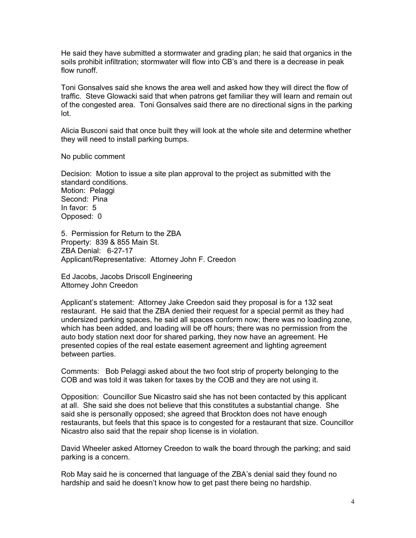He said they have submitted a stormwater and grading plan; he said that organics in the soils prohibit infiltration; stormwater will flow into CB's and there is a decrease in peak flow runoff.

Toni Gonsalves said she knows the area well and asked how they will direct the flow of traffic. Steve Glowacki said that when patrons get familiar they will learn and remain out of the congested area. Toni Gonsalves said there are no directional signs in the parking lot.

Alicia Busconi said that once built they will look at the whole site and determine whether they will need to install parking bumps.

No public comment

Decision: Motion to issue a site plan approval to the project as submitted with the standard conditions. Motion: Pelaggi Second: Pina In favor: 5 Opposed: 0

5. Permission for Return to the ZBA Property: 839 & 855 Main St. ZBA Denial: 6-27-17 Applicant/Representative: Attorney John F. Creedon

Ed Jacobs, Jacobs Driscoll Engineering Attorney John Creedon

Applicant's statement: Attorney Jake Creedon said they proposal is for a 132 seat restaurant. He said that the ZBA denied their request for a special permit as they had undersized parking spaces, he said all spaces conform now; there was no loading zone, which has been added, and loading will be off hours; there was no permission from the auto body station next door for shared parking, they now have an agreement. He presented copies of the real estate easement agreement and lighting agreement between parties.

Comments: Bob Pelaggi asked about the two foot strip of property belonging to the COB and was told it was taken for taxes by the COB and they are not using it.

Opposition: Councillor Sue Nicastro said she has not been contacted by this applicant at all. She said she does not believe that this constitutes a substantial change. She said she is personally opposed; she agreed that Brockton does not have enough restaurants, but feels that this space is to congested for a restaurant that size. Councillor Nicastro also said that the repair shop license is in violation.

David Wheeler asked Attorney Creedon to walk the board through the parking; and said parking is a concern.

Rob May said he is concerned that language of the ZBA's denial said they found no hardship and said he doesn't know how to get past there being no hardship.